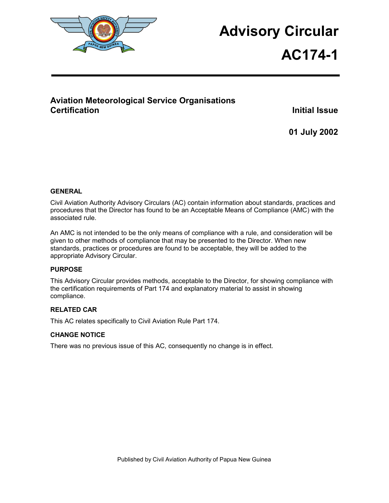

# **Advisory Circular**

# **AC174-1**

# **Aviation Meteorological Service Organisations Certification Initial Issue**

**01 July 2002** 

## **GENERAL**

Civil Aviation Authority Advisory Circulars (AC) contain information about standards, practices and procedures that the Director has found to be an Acceptable Means of Compliance (AMC) with the associated rule.

An AMC is not intended to be the only means of compliance with a rule, and consideration will be given to other methods of compliance that may be presented to the Director. When new standards, practices or procedures are found to be acceptable, they will be added to the appropriate Advisory Circular.

#### **PURPOSE**

This Advisory Circular provides methods, acceptable to the Director, for showing compliance with the certification requirements of Part 174 and explanatory material to assist in showing compliance.

## **RELATED CAR**

This AC relates specifically to Civil Aviation Rule Part 174.

#### **CHANGE NOTICE**

There was no previous issue of this AC, consequently no change is in effect.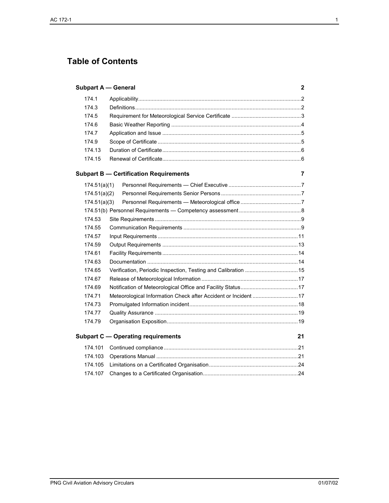# **Table of Contents**

|              | <b>Subpart A — General</b>                    |                                                                | 2  |
|--------------|-----------------------------------------------|----------------------------------------------------------------|----|
| 174.1        |                                               |                                                                |    |
| 174.3        |                                               |                                                                |    |
| 174.5        |                                               |                                                                |    |
| 174.6        |                                               |                                                                |    |
| 174.7        |                                               |                                                                |    |
| 174.9        |                                               |                                                                |    |
| 174.13       |                                               |                                                                |    |
| 174.15       |                                               |                                                                |    |
|              | <b>Subpart B - Certification Requirements</b> |                                                                | 7  |
| 174.51(a)(1) |                                               |                                                                |    |
| 174.51(a)(2) |                                               |                                                                |    |
| 174.51(a)(3) |                                               |                                                                |    |
|              |                                               |                                                                |    |
| 174.53       |                                               |                                                                |    |
| 174.55       |                                               |                                                                |    |
| 174.57       |                                               |                                                                |    |
| 174.59       |                                               |                                                                |    |
| 174.61       |                                               |                                                                |    |
| 174.63       |                                               |                                                                |    |
| 174.65       |                                               | Verification, Periodic Inspection, Testing and Calibration  15 |    |
| 174.67       |                                               |                                                                |    |
| 174.69       |                                               |                                                                |    |
| 174.71       |                                               | Meteorological Information Check after Accident or Incident 17 |    |
| 174.73       |                                               |                                                                |    |
| 174.77       |                                               |                                                                |    |
| 174.79       |                                               |                                                                |    |
|              | <b>Subpart C — Operating requirements</b>     |                                                                | 21 |
| 174.101      |                                               |                                                                |    |
| 174.103      |                                               |                                                                |    |
| 174.105      |                                               |                                                                |    |
| 174.107      |                                               |                                                                |    |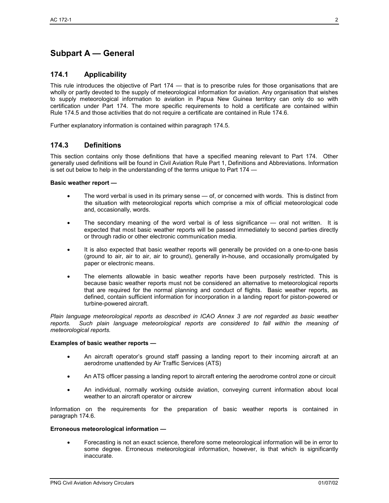# **Subpart A — General**

#### **174.1 Applicability**

This rule introduces the objective of Part 174 — that is to prescribe rules for those organisations that are wholly or partly devoted to the supply of meteorological information for aviation. Any organisation that wishes to supply meteorological information to aviation in Papua New Guinea territory can only do so with certification under Part 174. The more specific requirements to hold a certificate are contained within Rule 174.5 and those activities that do not require a certificate are contained in Rule 174.6.

Further explanatory information is contained within paragraph 174.5.

## **174.3 Definitions**

This section contains only those definitions that have a specified meaning relevant to Part 174. Other generally used definitions will be found in Civil Aviation Rule Part 1, Definitions and Abbreviations. Information is set out below to help in the understanding of the terms unique to Part 174 —

#### **Basic weather report —**

- The word verbal is used in its primary sense of, or concerned with words. This is distinct from the situation with meteorological reports which comprise a mix of official meteorological code and, occasionally, words.
- The secondary meaning of the word verbal is of less significance oral not written. It is expected that most basic weather reports will be passed immediately to second parties directly or through radio or other electronic communication media.
- It is also expected that basic weather reports will generally be provided on a one-to-one basis (ground to air, air to air, air to ground), generally in-house, and occasionally promulgated by paper or electronic means.
- The elements allowable in basic weather reports have been purposely restricted. This is because basic weather reports must not be considered an alternative to meteorological reports that are required for the normal planning and conduct of flights. Basic weather reports, as defined, contain sufficient information for incorporation in a landing report for piston-powered or turbine-powered aircraft.

*Plain language meteorological reports as described in ICAO Annex 3 are not regarded as basic weather reports. Such plain language meteorological reports are considered to fall within the meaning of meteorological reports.* 

#### **Examples of basic weather reports —**

- An aircraft operator's ground staff passing a landing report to their incoming aircraft at an aerodrome unattended by Air Traffic Services (ATS)
- An ATS officer passing a landing report to aircraft entering the aerodrome control zone or circuit
- An individual, normally working outside aviation, conveying current information about local weather to an aircraft operator or aircrew

Information on the requirements for the preparation of basic weather reports is contained in paragraph 174.6.

#### **Erroneous meteorological information —**

• Forecasting is not an exact science, therefore some meteorological information will be in error to some degree. Erroneous meteorological information, however, is that which is significantly inaccurate.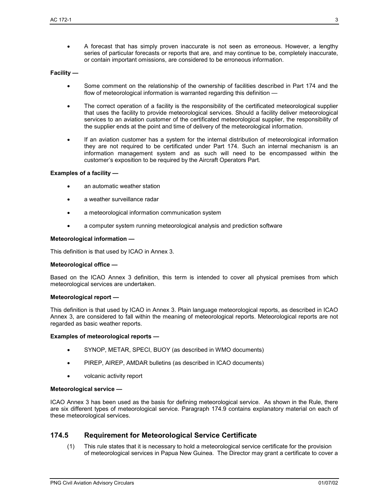• A forecast that has simply proven inaccurate is not seen as erroneous. However, a lengthy series of particular forecasts or reports that are, and may continue to be, completely inaccurate, or contain important omissions, are considered to be erroneous information.

#### **Facility —**

- Some comment on the relationship of the ownership of facilities described in Part 174 and the flow of meteorological information is warranted regarding this definition —
- The correct operation of a facility is the responsibility of the certificated meteorological supplier that uses the facility to provide meteorological services. Should a facility deliver meteorological services to an aviation customer of the certificated meteorological supplier, the responsibility of the supplier ends at the point and time of delivery of the meteorological information.
- If an aviation customer has a system for the internal distribution of meteorological information they are not required to be certificated under Part 174. Such an internal mechanism is an information management system and as such will need to be encompassed within the customer's exposition to be required by the Aircraft Operators Part.

#### **Examples of a facility —**

- an automatic weather station
- a weather surveillance radar
- a meteorological information communication system
- a computer system running meteorological analysis and prediction software

#### **Meteorological information —**

This definition is that used by ICAO in Annex 3.

#### **Meteorological office —**

Based on the ICAO Annex 3 definition, this term is intended to cover all physical premises from which meteorological services are undertaken.

#### **Meteorological report —**

This definition is that used by ICAO in Annex 3. Plain language meteorological reports, as described in ICAO Annex 3, are considered to fall within the meaning of meteorological reports. Meteorological reports are not regarded as basic weather reports.

#### **Examples of meteorological reports —**

- SYNOP, METAR, SPECI, BUOY (as described in WMO documents)
- PIREP, AIREP, AMDAR bulletins (as described in ICAO documents)
- volcanic activity report

#### **Meteorological service —**

ICAO Annex 3 has been used as the basis for defining meteorological service. As shown in the Rule, there are six different types of meteorological service. Paragraph 174.9 contains explanatory material on each of these meteorological services.

#### **174.5 Requirement for Meteorological Service Certificate**

(1) This rule states that it is necessary to hold a meteorological service certificate for the provision of meteorological services in Papua New Guinea. The Director may grant a certificate to cover a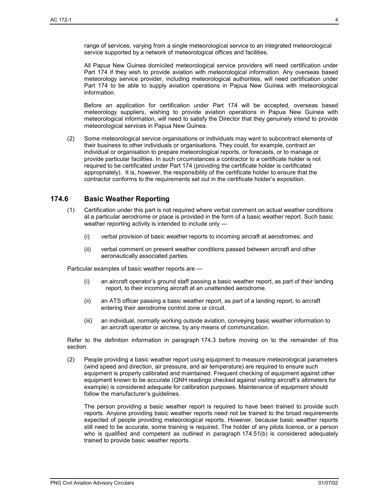range of services, varying from a single meteorological service to an integrated meteorological service supported by a network of meteorological offices and facilities.

All Papua New Guinea domiciled meteorological service providers will need certification under Part 174 if they wish to provide aviation with meteorological information. Any overseas based meteorology service provider, including meteorological authorities, will need certification under Part 174 to be able to supply aviation operations in Papua New Guinea with meteorological information.

Before an application for certification under Part 174 will be accepted, overseas based meteorology suppliers, wishing to provide aviation operations in Papua New Guinea with meteorological information, will need to satisfy the Director that they genuinely intend to provide meteorological services in Papua New Guinea.

(2) Some meteorological service organisations or individuals may want to subcontract elements of their business to other individuals or organisations. They could, for example, contract an individual or organisation to prepare meteorological reports, or forecasts, or to manage or provide particular facilities. In such circumstances a contractor to a certificate holder is not required to be certificated under Part 174 (providing the certificate holder is certificated appropriately). It is, however, the responsibility of the certificate holder to ensure that the contractor conforms to the requirements set out in the certificate holder's exposition.

## **174.6 Basic Weather Reporting**

- (1) Certification under this part is not required where verbal comment on actual weather conditions at a particular aerodrome or place is provided in the form of a basic weather report. Such basic weather reporting activity is intended to include only —
	- (i) verbal provision of basic weather reports to incoming aircraft at aerodromes; and
	- (ii) verbal comment on present weather conditions passed between aircraft and other aeronautically associated parties.

Particular examples of basic weather reports are —

- (i) an aircraft operator's ground staff passing a basic weather report, as part of their landing report, to their incoming aircraft at an unattended aerodrome.
- (ii) an ATS officer passing a basic weather report, as part of a landing report, to aircraft entering their aerodrome control zone or circuit.
- (iii) an individual, normally working outside aviation, conveying basic weather information to an aircraft operator or aircrew, by any means of communication.

Refer to the definition information in paragraph 174.3 before moving on to the remainder of this section.

(2) People providing a basic weather report using equipment to measure meteorological parameters (wind speed and direction, air pressure, and air temperature) are required to ensure such equipment is properly calibrated and maintained. Frequent checking of equipment against other equipment known to be accurate (QNH readings checked against visiting aircraft's altimeters for example) is considered adequate for calibration purposes. Maintenance of equipment should follow the manufacturer's guidelines.

The person providing a basic weather report is required to have been trained to provide such reports. Anyone providing basic weather reports need not be trained to the broad requirements expected of people providing meteorological reports. However, because basic weather reports still need to be accurate, some training is required. The holder of any pilots licence, or a person who is qualified and competent as outlined in paragraph 174.51(b) is considered adequately trained to provide basic weather reports.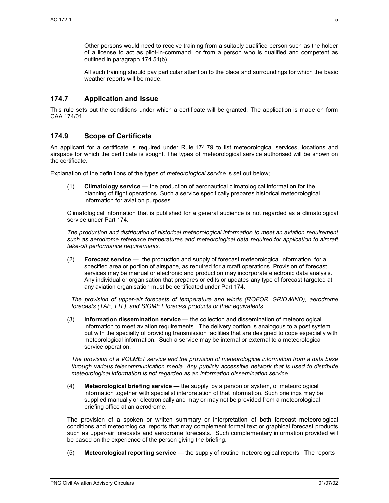Other persons would need to receive training from a suitably qualified person such as the holder of a license to act as pilot-in-command, or from a person who is qualified and competent as outlined in paragraph 174.51(b).

All such training should pay particular attention to the place and surroundings for which the basic weather reports will be made.

## **174.7 Application and Issue**

This rule sets out the conditions under which a certificate will be granted. The application is made on form CAA 174/01.

## **174.9 Scope of Certificate**

An applicant for a certificate is required under Rule 174.79 to list meteorological services, locations and airspace for which the certificate is sought. The types of meteorological service authorised will be shown on the certificate.

Explanation of the definitions of the types of *meteorological service* is set out below;

(1) **Climatology service** — the production of aeronautical climatological information for the planning of flight operations. Such a service specifically prepares historical meteorological information for aviation purposes.

Climatological information that is published for a general audience is not regarded as a climatological service under Part 174.

*The production and distribution of historical meteorological information to meet an aviation requirement such as aerodrome reference temperatures and meteorological data required for application to aircraft take-off performance requirements.* 

(2) **Forecast service** — the production and supply of forecast meteorological information, for a specified area or portion of airspace, as required for aircraft operations. Provision of forecast services may be manual or electronic and production may incorporate electronic data analysis. Any individual or organisation that prepares or edits or updates any type of forecast targeted at any aviation organisation must be certificated under Part 174.

*The provision of upper-air forecasts of temperature and winds (ROFOR, GRIDWIND), aerodrome forecasts (TAF, TTL), and SIGMET forecast products or their equivalents.* 

(3) **Information dissemination service** — the collection and dissemination of meteorological information to meet aviation requirements. The delivery portion is analogous to a post system but with the specialty of providing transmission facilities that are designed to cope especially with meteorological information. Such a service may be internal or external to a meteorological service operation.

*The provision of a VOLMET service and the provision of meteorological information from a data base through various telecommunication media. Any publicly accessible network that is used to distribute meteorological information is not regarded as an information dissemination service.* 

(4) **Meteorological briefing service** — the supply, by a person or system, of meteorological information together with specialist interpretation of that information. Such briefings may be supplied manually or electronically and may or may not be provided from a meteorological briefing office at an aerodrome.

The provision of a spoken or written summary or interpretation of both forecast meteorological conditions and meteorological reports that may complement formal text or graphical forecast products such as upper-air forecasts and aerodrome forecasts. Such complementary information provided will be based on the experience of the person giving the briefing.

(5) **Meteorological reporting service** — the supply of routine meteorological reports. The reports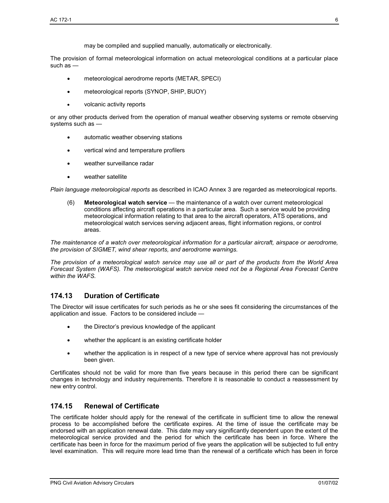The provision of formal meteorological information on actual meteorological conditions at a particular place such as —

- meteorological aerodrome reports (METAR, SPECI)
- meteorological reports (SYNOP, SHIP, BUOY)
- volcanic activity reports

or any other products derived from the operation of manual weather observing systems or remote observing systems such as —

- automatic weather observing stations
- vertical wind and temperature profilers
- weather surveillance radar
- weather satellite

*Plain language meteorological reports* as described in ICAO Annex 3 are regarded as meteorological reports.

(6) **Meteorological watch service** — the maintenance of a watch over current meteorological conditions affecting aircraft operations in a particular area. Such a service would be providing meteorological information relating to that area to the aircraft operators, ATS operations, and meteorological watch services serving adjacent areas, flight information regions, or control areas.

*The maintenance of a watch over meteorological information for a particular aircraft, airspace or aerodrome, the provision of SIGMET, wind shear reports, and aerodrome warnings.* 

*The provision of a meteorological watch service may use all or part of the products from the World Area Forecast System (WAFS). The meteorological watch service need not be a Regional Area Forecast Centre within the WAFS.* 

## **174.13 Duration of Certificate**

The Director will issue certificates for such periods as he or she sees fit considering the circumstances of the application and issue. Factors to be considered include —

- the Director's previous knowledge of the applicant
- whether the applicant is an existing certificate holder
- whether the application is in respect of a new type of service where approval has not previously been given.

Certificates should not be valid for more than five years because in this period there can be significant changes in technology and industry requirements. Therefore it is reasonable to conduct a reassessment by new entry control.

## **174.15 Renewal of Certificate**

The certificate holder should apply for the renewal of the certificate in sufficient time to allow the renewal process to be accomplished before the certificate expires. At the time of issue the certificate may be endorsed with an application renewal date. This date may vary significantly dependent upon the extent of the meteorological service provided and the period for which the certificate has been in force. Where the certificate has been in force for the maximum period of five years the application will be subjected to full entry level examination. This will require more lead time than the renewal of a certificate which has been in force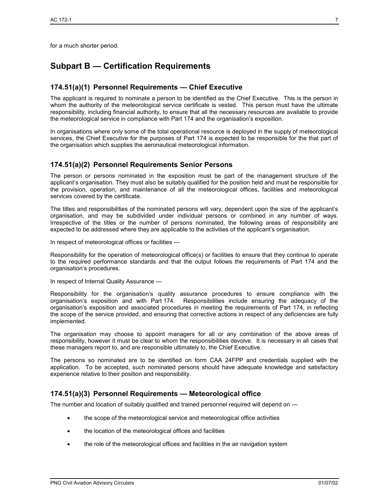for a much shorter period.

# **Subpart B — Certification Requirements**

## **174.51(a)(1) Personnel Requirements — Chief Executive**

The applicant is required to nominate a person to be identified as the Chief Executive. This is the person in whom the authority of the meteorological service certificate is vested. This person must have the ultimate responsibility, including financial authority, to ensure that all the necessary resources are available to provide the meteorological service in compliance with Part 174 and the organisation's exposition.

In organisations where only some of the total operational resource is deployed in the supply of meteorological services, the Chief Executive for the purposes of Part 174 is expected to be responsible for the that part of the organisation which supplies the aeronautical meteorological information.

#### **174.51(a)(2) Personnel Requirements Senior Persons**

The person or persons nominated in the exposition must be part of the management structure of the applicant's organisation. They must also be suitably qualified for the position held and must be responsible for the provision, operation, and maintenance of all the meteorological offices, facilities and meteorological services covered by the certificate.

The titles and responsibilities of the nominated persons will vary, dependent upon the size of the applicant's organisation, and may be subdivided under individual persons or combined in any number of ways. Irrespective of the titles or the number of persons nominated, the following areas of responsibility are expected to be addressed where they are applicable to the activities of the applicant's organisation.

In respect of meteorological offices or facilities —

Responsibility for the operation of meteorological office(s) or facilities to ensure that they continue to operate to the required performance standards and that the output follows the requirements of Part 174 and the organisation's procedures.

In respect of Internal Quality Assurance —

Responsibility for the organisation's quality assurance procedures to ensure compliance with the organisation's exposition and with Part 174. Responsibilities include ensuring the adequacy of the organisation's exposition and associated procedures in meeting the requirements of Part 174, in reflecting the scope of the service provided, and ensuring that corrective actions in respect of any deficiencies are fully implemented.

The organisation may choose to appoint managers for all or any combination of the above areas of responsibility, however it must be clear to whom the responsibilities devolve. It is necessary in all cases that these managers report to, and are responsible ultimately to, the Chief Executive.

The persons so nominated are to be identified on form CAA 24FPP and credentials supplied with the application. To be accepted, such nominated persons should have adequate knowledge and satisfactory experience relative to their position and responsibility.

## **174.51(a)(3) Personnel Requirements — Meteorological office**

The number and location of suitably qualified and trained personnel required will depend on -

- the scope of the meteorological service and meteorological office activities
- the location of the meteorological offices and facilities
- the role of the meteorological offices and facilities in the air navigation system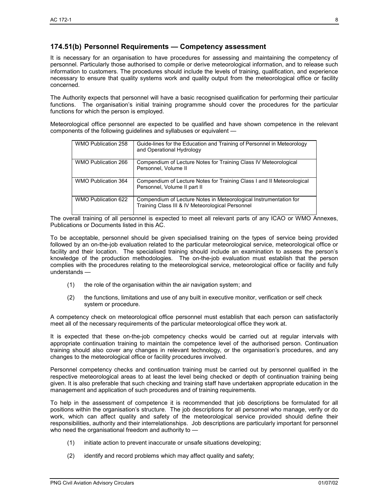#### **174.51(b) Personnel Requirements — Competency assessment**

It is necessary for an organisation to have procedures for assessing and maintaining the competency of personnel. Particularly those authorised to compile or derive meteorological information, and to release such information to customers. The procedures should include the levels of training, qualification, and experience necessary to ensure that quality systems work and quality output from the meteorological office or facility concerned.

The Authority expects that personnel will have a basic recognised qualification for performing their particular functions. The organisation's initial training programme should cover the procedures for the particular functions for which the person is employed.

Meteorological office personnel are expected to be qualified and have shown competence in the relevant components of the following guidelines and syllabuses or equivalent —

| WMO Publication 258        | Guide-lines for the Education and Training of Personnel in Meteorology<br>and Operational Hydrology                   |
|----------------------------|-----------------------------------------------------------------------------------------------------------------------|
| WMO Publication 266        | Compendium of Lecture Notes for Training Class IV Meteorological<br>Personnel, Volume II                              |
| <b>WMO Publication 364</b> | Compendium of Lecture Notes for Training Class I and II Meteorological<br>Personnel, Volume II part II                |
| WMO Publication 622        | Compendium of Lecture Notes in Meteorological Instrumentation for<br>Training Class III & IV Meteorological Personnel |

The overall training of all personnel is expected to meet all relevant parts of any ICAO or WMO Annexes, Publications or Documents listed in this AC.

To be acceptable, personnel should be given specialised training on the types of service being provided followed by an on-the-job evaluation related to the particular meteorological service, meteorological office or facility and their location. The specialised training should include an examination to assess the person's knowledge of the production methodologies. The on-the-job evaluation must establish that the person complies with the procedures relating to the meteorological service, meteorological office or facility and fully understands —

- (1) the role of the organisation within the air navigation system; and
- (2) the functions, limitations and use of any built in executive monitor, verification or self check system or procedure.

A competency check on meteorological office personnel must establish that each person can satisfactorily meet all of the necessary requirements of the particular meteorological office they work at.

It is expected that these on-the-job competency checks would be carried out at regular intervals with appropriate continuation training to maintain the competence level of the authorised person. Continuation training should also cover any changes in relevant technology, or the organisation's procedures, and any changes to the meteorological office or facility procedures involved.

Personnel competency checks and continuation training must be carried out by personnel qualified in the respective meteorological areas to at least the level being checked or depth of continuation training being given. It is also preferable that such checking and training staff have undertaken appropriate education in the management and application of such procedures and of training requirements.

To help in the assessment of competence it is recommended that job descriptions be formulated for all positions within the organisation's structure. The job descriptions for all personnel who manage, verify or do work, which can affect quality and safety of the meteorological service provided should define their responsibilities, authority and their interrelationships. Job descriptions are particularly important for personnel who need the organisational freedom and authority to —

- (1) initiate action to prevent inaccurate or unsafe situations developing;
- (2) identify and record problems which may affect quality and safety;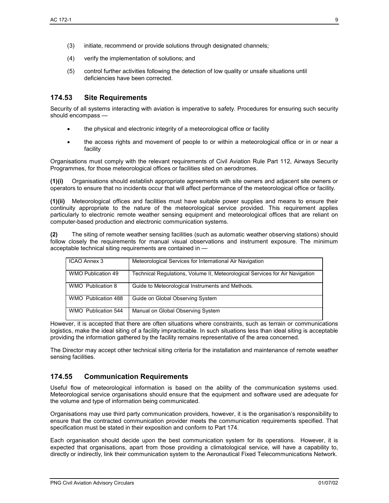- (4) verify the implementation of solutions; and
- (5) control further activities following the detection of low quality or unsafe situations until deficiencies have been corrected.

#### **174.53 Site Requirements**

Security of all systems interacting with aviation is imperative to safety. Procedures for ensuring such security should encompass —

- the physical and electronic integrity of a meteorological office or facility
- the access rights and movement of people to or within a meteorological office or in or near a facility

Organisations must comply with the relevant requirements of Civil Aviation Rule Part 112, Airways Security Programmes, for those meteorological offices or facilities sited on aerodromes.

**(1)(i)** Organisations should establish appropriate agreements with site owners and adjacent site owners or operators to ensure that no incidents occur that will affect performance of the meteorological office or facility.

**(1)(ii)** Meteorological offices and facilities must have suitable power supplies and means to ensure their continuity appropriate to the nature of the meteorological service provided. This requirement applies particularly to electronic remote weather sensing equipment and meteorological offices that are reliant on computer-based production and electronic communication systems.

**(2)** The siting of remote weather sensing facilities (such as automatic weather observing stations) should follow closely the requirements for manual visual observations and instrument exposure. The minimum acceptable technical siting requirements are contained in —

| ICAO Annex 3        | Meteorological Services for International Air Navigation                     |
|---------------------|------------------------------------------------------------------------------|
| WMO Publication 49  | Technical Regulations, Volume II, Meteorological Services for Air Navigation |
| WMO Publication 8   | Guide to Meteorological Instruments and Methods.                             |
| WMO Publication 488 | Guide on Global Observing System                                             |
| WMO Publication 544 | Manual on Global Observing System                                            |

However, it is accepted that there are often situations where constraints, such as terrain or communications logistics, make the ideal siting of a facility impracticable. In such situations less than ideal siting is acceptable providing the information gathered by the facility remains representative of the area concerned.

The Director may accept other technical siting criteria for the installation and maintenance of remote weather sensing facilities.

#### **174.55 Communication Requirements**

Useful flow of meteorological information is based on the ability of the communication systems used. Meteorological service organisations should ensure that the equipment and software used are adequate for the volume and type of information being communicated.

Organisations may use third party communication providers, however, it is the organisation's responsibility to ensure that the contracted communication provider meets the communication requirements specified. That specification must be stated in their exposition and conform to Part 174.

Each organisation should decide upon the best communication system for its operations. However, it is expected that organisations, apart from those providing a climatological service, will have a capability to, directly or indirectly, link their communication system to the Aeronautical Fixed Telecommunications Network.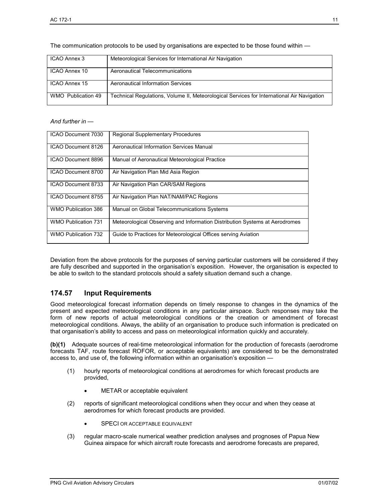The communication protocols to be used by organisations are expected to be those found within —

| ICAO Annex 3       | Meteorological Services for International Air Navigation                                   |
|--------------------|--------------------------------------------------------------------------------------------|
| ICAO Annex 10      | Aeronautical Telecommunications                                                            |
| ICAO Annex 15      | Aeronautical Information Services                                                          |
| WMO Publication 49 | Technical Regulations, Volume II, Meteorological Services for International Air Navigation |

#### *And further in —*

| ICAO Document 7030         | <b>Regional Supplementary Procedures</b>                                    |
|----------------------------|-----------------------------------------------------------------------------|
| ICAO Document 8126         | Aeronautical Information Services Manual                                    |
| ICAO Document 8896         | Manual of Aeronautical Meteorological Practice                              |
| ICAO Document 8700         | Air Navigation Plan Mid Asia Region                                         |
| ICAO Document 8733         | Air Navigation Plan CAR/SAM Regions                                         |
| ICAO Document 8755         | Air Navigation Plan NAT/NAM/PAC Regions                                     |
| WMO Publication 386        | Manual on Global Telecommunications Systems                                 |
| <b>WMO Publication 731</b> | Meteorological Observing and Information Distribution Systems at Aerodromes |
| <b>WMO Publication 732</b> | Guide to Practices for Meteorological Offices serving Aviation              |

Deviation from the above protocols for the purposes of serving particular customers will be considered if they are fully described and supported in the organisation's exposition. However, the organisation is expected to be able to switch to the standard protocols should a safety situation demand such a change.

## **174.57 Input Requirements**

Good meteorological forecast information depends on timely response to changes in the dynamics of the present and expected meteorological conditions in any particular airspace. Such responses may take the form of new reports of actual meteorological conditions or the creation or amendment of forecast meteorological conditions. Always, the ability of an organisation to produce such information is predicated on that organisation's ability to access and pass on meteorological information quickly and accurately.

**(b)(1)** Adequate sources of real-time meteorological information for the production of forecasts (aerodrome forecasts TAF, route forecast ROFOR, or acceptable equivalents) are considered to be the demonstrated access to, and use of, the following information within an organisation's exposition —

- (1) hourly reports of meteorological conditions at aerodromes for which forecast products are provided,
	- METAR or acceptable equivalent
- (2) reports of significant meteorological conditions when they occur and when they cease at aerodromes for which forecast products are provided.
	- SPECI OR ACCEPTABLE EQUIVALENT
- (3) regular macro-scale numerical weather prediction analyses and prognoses of Papua New Guinea airspace for which aircraft route forecasts and aerodrome forecasts are prepared,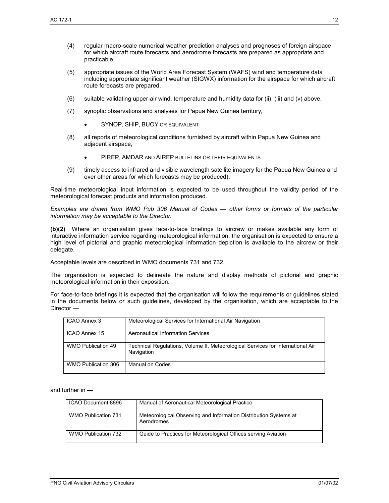- (4) regular macro-scale numerical weather prediction analyses and prognoses of foreign airspace for which aircraft route forecasts and aerodrome forecasts are prepared as appropriate and practicable,
- (5) appropriate issues of the World Area Forecast System (WAFS) wind and temperature data including appropriate significant weather (SIGWX) information for the airspace for which aircraft route forecasts are prepared,
- (6) suitable validating upper-air wind, temperature and humidity data for (ii), (iii) and (v) above,
- (7) synoptic observations and analyses for Papua New Guinea territory,
	- SYNOP, SHIP, BUOY OR EQUIVALENT
- (8) all reports of meteorological conditions furnished by aircraft within Papua New Guinea and adjacent airspace,
	- PIREP, AMDAR AND AIREP BULLETINS OR THEIR EQUIVALENTS
- (9) timely access to infrared and visible wavelength satellite imagery for the Papua New Guinea and over other areas for which forecasts may be produced).

Real-time meteorological input information is expected to be used throughout the validity period of the meteorological forecast products and information produced.

*Examples are drawn from WMO Pub 306 Manual of Codes — other forms or formats of the particular information may be acceptable to the Director.* 

**(b)(2)** Where an organisation gives face-to-face briefings to aircrew or makes available any form of interactive information service regarding meteorological information, the organisation is expected to ensure a high level of pictorial and graphic meteorological information depiction is available to the aircrew or their delegate.

Acceptable levels are described in WMO documents 731 and 732.

The organisation is expected to delineate the nature and display methods of pictorial and graphic meteorological information in their exposition.

For face-to-face briefings it is expected that the organisation will follow the requirements or guidelines stated in the documents below or such guidelines, developed by the organisation, which are acceptable to the Director —

| ICAO Annex 3        | Meteorological Services for International Air Navigation                                      |
|---------------------|-----------------------------------------------------------------------------------------------|
| ICAO Annex 15       | <b>Aeronautical Information Services</b>                                                      |
| WMO Publication 49  | Technical Regulations, Volume II, Meteorological Services for International Air<br>Navigation |
| WMO Publication 306 | Manual on Codes                                                                               |

and further in —

| ICAO Document 8896         | Manual of Aeronautical Meteorological Practice                                 |
|----------------------------|--------------------------------------------------------------------------------|
| <b>WMO Publication 731</b> | Meteorological Observing and Information Distribution Systems at<br>Aerodromes |
| WMO Publication 732        | Guide to Practices for Meteorological Offices serving Aviation                 |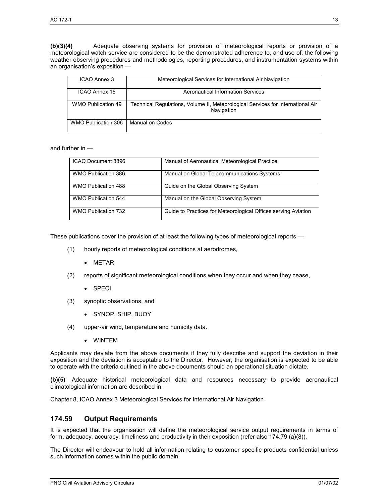**(b)(3)(4)** Adequate observing systems for provision of meteorological reports or provision of a meteorological watch service are considered to be the demonstrated adherence to, and use of, the following weather observing procedures and methodologies, reporting procedures, and instrumentation systems within an organisation's exposition —

| ICAO Annex 3              | Meteorological Services for International Air Navigation                                      |
|---------------------------|-----------------------------------------------------------------------------------------------|
| ICAO Annex 15             | Aeronautical Information Services                                                             |
| <b>WMO Publication 49</b> | Technical Regulations, Volume II, Meteorological Services for International Air<br>Navigation |
| WMO Publication 306       | Manual on Codes                                                                               |

and further in —

| ICAO Document 8896         | Manual of Aeronautical Meteorological Practice                 |
|----------------------------|----------------------------------------------------------------|
| WMO Publication 386        | Manual on Global Telecommunications Systems                    |
| WMO Publication 488        | Guide on the Global Observing System                           |
| <b>WMO Publication 544</b> | Manual on the Global Observing System                          |
| WMO Publication 732        | Guide to Practices for Meteorological Offices serving Aviation |

These publications cover the provision of at least the following types of meteorological reports —

- (1) hourly reports of meteorological conditions at aerodromes,
	- METAR
- (2) reports of significant meteorological conditions when they occur and when they cease,
	- SPECI
- (3) synoptic observations, and
	- SYNOP, SHIP, BUOY
- (4) upper-air wind, temperature and humidity data.
	- WINTEM

Applicants may deviate from the above documents if they fully describe and support the deviation in their exposition and the deviation is acceptable to the Director. However, the organisation is expected to be able to operate with the criteria outlined in the above documents should an operational situation dictate.

**(b)(5)** Adequate historical meteorological data and resources necessary to provide aeronautical climatological information are described in —

Chapter 8, ICAO Annex 3 Meteorological Services for International Air Navigation

## **174.59 Output Requirements**

It is expected that the organisation will define the meteorological service output requirements in terms of form, adequacy, accuracy, timeliness and productivity in their exposition (refer also 174.79 (a)(8)).

The Director will endeavour to hold all information relating to customer specific products confidential unless such information comes within the public domain.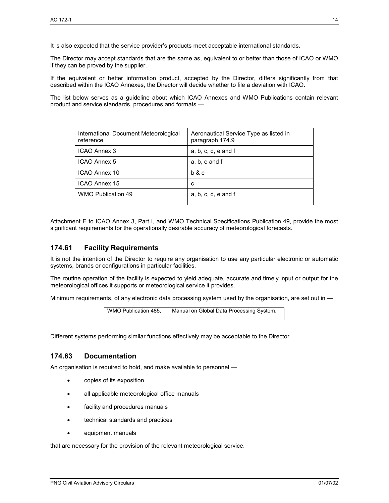It is also expected that the service provider's products meet acceptable international standards.

The Director may accept standards that are the same as, equivalent to or better than those of ICAO or WMO if they can be proved by the supplier.

If the equivalent or better information product, accepted by the Director, differs significantly from that described within the ICAO Annexes, the Director will decide whether to file a deviation with ICAO.

The list below serves as a guideline about which ICAO Annexes and WMO Publications contain relevant product and service standards, procedures and formats —

| International Document Meteorological<br>reference | Aeronautical Service Type as listed in<br>paragraph 174.9 |
|----------------------------------------------------|-----------------------------------------------------------|
| ICAO Annex 3                                       | $a, b, c, d, e$ and f                                     |
| <b>ICAO Annex 5</b>                                | a, b, e and f                                             |
| ICAO Annex 10                                      | b & c                                                     |
| ICAO Annex 15                                      | c                                                         |
| <b>WMO Publication 49</b>                          | $a, b, c, d, e$ and f                                     |

Attachment E to ICAO Annex 3, Part I, and WMO Technical Specifications Publication 49, provide the most significant requirements for the operationally desirable accuracy of meteorological forecasts.

#### **174.61 Facility Requirements**

It is not the intention of the Director to require any organisation to use any particular electronic or automatic systems, brands or configurations in particular facilities.

The routine operation of the facility is expected to yield adequate, accurate and timely input or output for the meteorological offices it supports or meteorological service it provides.

Minimum requirements, of any electronic data processing system used by the organisation, are set out in —

| WMO Publication 485. | Manual on Global Data Processing System. |
|----------------------|------------------------------------------|
|                      |                                          |

Different systems performing similar functions effectively may be acceptable to the Director.

#### **174.63 Documentation**

An organisation is required to hold, and make available to personnel —

- copies of its exposition
- all applicable meteorological office manuals
- facility and procedures manuals
- technical standards and practices
- equipment manuals

that are necessary for the provision of the relevant meteorological service.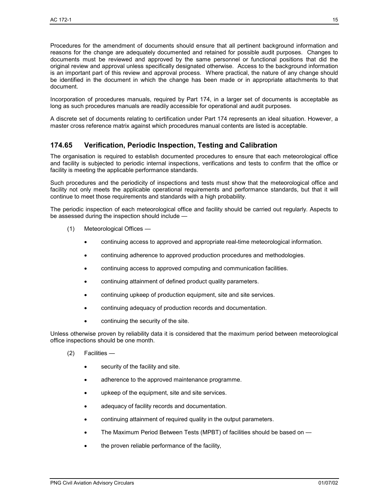Procedures for the amendment of documents should ensure that all pertinent background information and reasons for the change are adequately documented and retained for possible audit purposes. Changes to documents must be reviewed and approved by the same personnel or functional positions that did the original review and approval unless specifically designated otherwise. Access to the background information is an important part of this review and approval process. Where practical, the nature of any change should be identified in the document in which the change has been made or in appropriate attachments to that document.

Incorporation of procedures manuals, required by Part 174, in a larger set of documents is acceptable as long as such procedures manuals are readily accessible for operational and audit purposes.

A discrete set of documents relating to certification under Part 174 represents an ideal situation. However, a master cross reference matrix against which procedures manual contents are listed is acceptable.

## **174.65 Verification, Periodic Inspection, Testing and Calibration**

The organisation is required to establish documented procedures to ensure that each meteorological office and facility is subjected to periodic internal inspections, verifications and tests to confirm that the office or facility is meeting the applicable performance standards.

Such procedures and the periodicity of inspections and tests must show that the meteorological office and facility not only meets the applicable operational requirements and performance standards, but that it will continue to meet those requirements and standards with a high probability.

The periodic inspection of each meteorological office and facility should be carried out regularly. Aspects to be assessed during the inspection should include —

- (1) Meteorological Offices
	- continuing access to approved and appropriate real-time meteorological information.
	- continuing adherence to approved production procedures and methodologies.
	- continuing access to approved computing and communication facilities.
	- continuing attainment of defined product quality parameters.
	- continuing upkeep of production equipment, site and site services.
	- continuing adequacy of production records and documentation.
	- continuing the security of the site.

Unless otherwise proven by reliability data it is considered that the maximum period between meteorological office inspections should be one month.

- (2) Facilities
	- security of the facility and site.
	- adherence to the approved maintenance programme.
	- upkeep of the equipment, site and site services.
	- adequacy of facility records and documentation.
	- continuing attainment of required quality in the output parameters.
	- The Maximum Period Between Tests (MPBT) of facilities should be based on —
	- the proven reliable performance of the facility,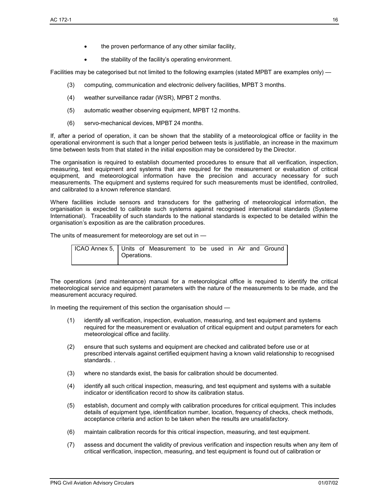- the proven performance of any other similar facility,
- the stability of the facility's operating environment.

Facilities may be categorised but not limited to the following examples (stated MPBT are examples only) —

- (3) computing, communication and electronic delivery facilities, MPBT 3 months.
- (4) weather surveillance radar (WSR), MPBT 2 months.
- (5) automatic weather observing equipment, MPBT 12 months.
- (6) servo-mechanical devices, MPBT 24 months.

If, after a period of operation, it can be shown that the stability of a meteorological office or facility in the operational environment is such that a longer period between tests is justifiable, an increase in the maximum time between tests from that stated in the initial exposition may be considered by the Director.

The organisation is required to establish documented procedures to ensure that all verification, inspection, measuring, test equipment and systems that are required for the measurement or evaluation of critical equipment, and meteorological information have the precision and accuracy necessary for such measurements. The equipment and systems required for such measurements must be identified, controlled, and calibrated to a known reference standard.

Where facilities include sensors and transducers for the gathering of meteorological information, the organisation is expected to calibrate such systems against recognised international standards (Systeme International). Traceability of such standards to the national standards is expected to be detailed within the organisation's exposition as are the calibration procedures.

The units of measurement for meteorology are set out in —

| ICAO Annex 5,   Units of Measurement to be used in Air and Ground |             |  |  |  |  |  |
|-------------------------------------------------------------------|-------------|--|--|--|--|--|
|                                                                   | Operations. |  |  |  |  |  |

The operations (and maintenance) manual for a meteorological office is required to identify the critical meteorological service and equipment parameters with the nature of the measurements to be made, and the measurement accuracy required.

In meeting the requirement of this section the organisation should —

- (1) identify all verification, inspection, evaluation, measuring, and test equipment and systems required for the measurement or evaluation of critical equipment and output parameters for each meteorological office and facility.
- (2) ensure that such systems and equipment are checked and calibrated before use or at prescribed intervals against certified equipment having a known valid relationship to recognised standards. .
- (3) where no standards exist, the basis for calibration should be documented.
- (4) identify all such critical inspection, measuring, and test equipment and systems with a suitable indicator or identification record to show its calibration status.
- (5) establish, document and comply with calibration procedures for critical equipment. This includes details of equipment type, identification number, location, frequency of checks, check methods, acceptance criteria and action to be taken when the results are unsatisfactory.
- (6) maintain calibration records for this critical inspection, measuring, and test equipment.
- (7) assess and document the validity of previous verification and inspection results when any item of critical verification, inspection, measuring, and test equipment is found out of calibration or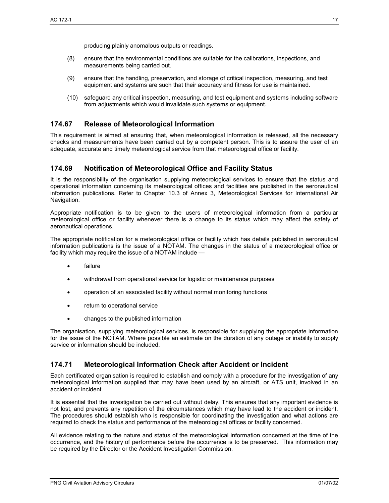producing plainly anomalous outputs or readings.

- (8) ensure that the environmental conditions are suitable for the calibrations, inspections, and measurements being carried out.
- (9) ensure that the handling, preservation, and storage of critical inspection, measuring, and test equipment and systems are such that their accuracy and fitness for use is maintained.
- (10) safeguard any critical inspection, measuring, and test equipment and systems including software from adjustments which would invalidate such systems or equipment.

## **174.67 Release of Meteorological Information**

This requirement is aimed at ensuring that, when meteorological information is released, all the necessary checks and measurements have been carried out by a competent person. This is to assure the user of an adequate, accurate and timely meteorological service from that meteorological office or facility.

#### **174.69 Notification of Meteorological Office and Facility Status**

It is the responsibility of the organisation supplying meteorological services to ensure that the status and operational information concerning its meteorological offices and facilities are published in the aeronautical information publications. Refer to Chapter 10.3 of Annex 3, Meteorological Services for International Air Navigation.

Appropriate notification is to be given to the users of meteorological information from a particular meteorological office or facility whenever there is a change to its status which may affect the safety of aeronautical operations.

The appropriate notification for a meteorological office or facility which has details published in aeronautical information publications is the issue of a NOTAM. The changes in the status of a meteorological office or facility which may require the issue of a NOTAM include —

- failure
- withdrawal from operational service for logistic or maintenance purposes
- operation of an associated facility without normal monitoring functions
- return to operational service
- changes to the published information

The organisation, supplying meteorological services, is responsible for supplying the appropriate information for the issue of the NOTAM. Where possible an estimate on the duration of any outage or inability to supply service or information should be included.

#### **174.71 Meteorological Information Check after Accident or Incident**

Each certificated organisation is required to establish and comply with a procedure for the investigation of any meteorological information supplied that may have been used by an aircraft, or ATS unit, involved in an accident or incident.

It is essential that the investigation be carried out without delay. This ensures that any important evidence is not lost, and prevents any repetition of the circumstances which may have lead to the accident or incident. The procedures should establish who is responsible for coordinating the investigation and what actions are required to check the status and performance of the meteorological offices or facility concerned.

All evidence relating to the nature and status of the meteorological information concerned at the time of the occurrence, and the history of performance before the occurrence is to be preserved. This information may be required by the Director or the Accident Investigation Commission.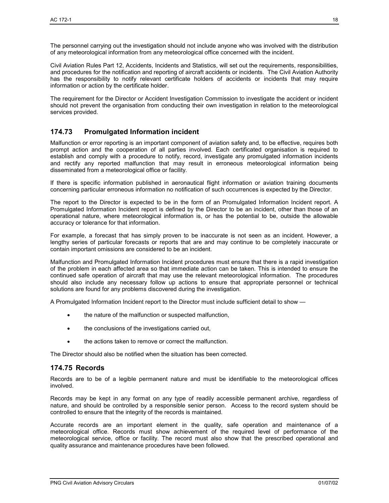The personnel carrying out the investigation should not include anyone who was involved with the distribution of any meteorological information from any meteorological office concerned with the incident.

Civil Aviation Rules Part 12, Accidents, Incidents and Statistics, will set out the requirements, responsibilities, and procedures for the notification and reporting of aircraft accidents or incidents. The Civil Aviation Authority has the responsibility to notify relevant certificate holders of accidents or incidents that may require information or action by the certificate holder.

The requirement for the Director or Accident Investigation Commission to investigate the accident or incident should not prevent the organisation from conducting their own investigation in relation to the meteorological services provided.

## **174.73 Promulgated Information incident**

Malfunction or error reporting is an important component of aviation safety and, to be effective, requires both prompt action and the cooperation of all parties involved. Each certificated organisation is required to establish and comply with a procedure to notify, record, investigate any promulgated information incidents and rectify any reported malfunction that may result in erroneous meteorological information being disseminated from a meteorological office or facility.

If there is specific information published in aeronautical flight information or aviation training documents concerning particular erroneous information no notification of such occurrences is expected by the Director.

The report to the Director is expected to be in the form of an Promulgated Information Incident report. A Promulgated Information Incident report is defined by the Director to be an incident, other than those of an operational nature, where meteorological information is, or has the potential to be, outside the allowable accuracy or tolerance for that information.

For example, a forecast that has simply proven to be inaccurate is not seen as an incident. However, a lengthy series of particular forecasts or reports that are and may continue to be completely inaccurate or contain important omissions are considered to be an incident.

Malfunction and Promulgated Information Incident procedures must ensure that there is a rapid investigation of the problem in each affected area so that immediate action can be taken. This is intended to ensure the continued safe operation of aircraft that may use the relevant meteorological information. The procedures should also include any necessary follow up actions to ensure that appropriate personnel or technical solutions are found for any problems discovered during the investigation.

A Promulgated Information Incident report to the Director must include sufficient detail to show —

- the nature of the malfunction or suspected malfunction,
- the conclusions of the investigations carried out,
- the actions taken to remove or correct the malfunction.

The Director should also be notified when the situation has been corrected.

#### **174.75 Records**

Records are to be of a legible permanent nature and must be identifiable to the meteorological offices involved.

Records may be kept in any format on any type of readily accessible permanent archive, regardless of nature, and should be controlled by a responsible senior person. Access to the record system should be controlled to ensure that the integrity of the records is maintained.

Accurate records are an important element in the quality, safe operation and maintenance of a meteorological office. Records must show achievement of the required level of performance of the meteorological service, office or facility. The record must also show that the prescribed operational and quality assurance and maintenance procedures have been followed.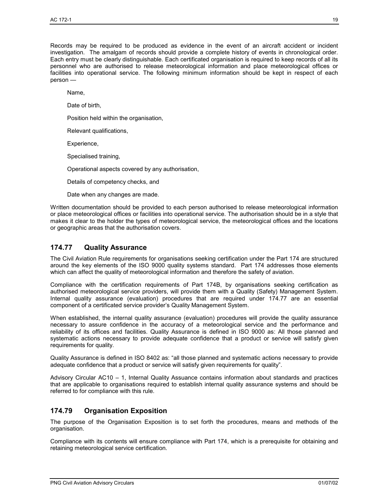Records may be required to be produced as evidence in the event of an aircraft accident or incident investigation. The amalgam of records should provide a complete history of events in chronological order. Each entry must be clearly distinguishable. Each certificated organisation is required to keep records of all its personnel who are authorised to release meteorological information and place meteorological offices or facilities into operational service. The following minimum information should be kept in respect of each person —

Name,

Date of birth,

Position held within the organisation,

Relevant qualifications,

Experience,

Specialised training,

Operational aspects covered by any authorisation,

Details of competency checks, and

Date when any changes are made.

Written documentation should be provided to each person authorised to release meteorological information or place meteorological offices or facilities into operational service. The authorisation should be in a style that makes it clear to the holder the types of meteorological service, the meteorological offices and the locations or geographic areas that the authorisation covers.

#### **174.77 Quality Assurance**

The Civil Aviation Rule requirements for organisations seeking certification under the Part 174 are structured around the key elements of the ISO 9000 quality systems standard. Part 174 addresses those elements which can affect the quality of meteorological information and therefore the safety of aviation.

Compliance with the certification requirements of Part 174B, by organisations seeking certification as authorised meteorological service providers, will provide them with a Quality (Safety) Management System. Internal quality assurance (evaluation) procedures that are required under 174.77 are an essential component of a certificated service provider's Quality Management System.

When established, the internal quality assurance (evaluation) procedures will provide the quality assurance necessary to assure confidence in the accuracy of a meteorological service and the performance and reliability of its offices and facilities. Quality Assurance is defined in ISO 9000 as: All those planned and systematic actions necessary to provide adequate confidence that a product or service will satisfy given requirements for quality.

Quality Assurance is defined in ISO 8402 as: "all those planned and systematic actions necessary to provide adequate confidence that a product or service will satisfy given requirements for quality".

Advisory Circular AC10 – 1, Internal Quality Assuance contains information about standards and practices that are applicable to organisations required to establish internal quality assurance systems and should be referred to for compliance with this rule.

#### **174.79 Organisation Exposition**

The purpose of the Organisation Exposition is to set forth the procedures, means and methods of the organisation.

Compliance with its contents will ensure compliance with Part 174, which is a prerequisite for obtaining and retaining meteorological service certification.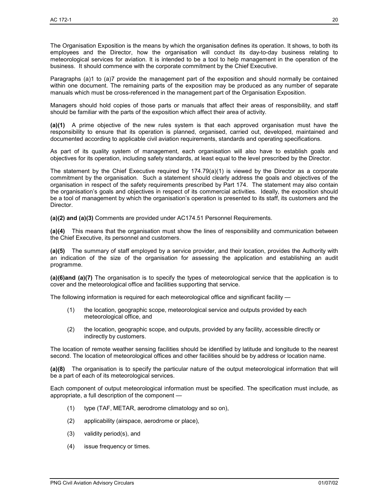The Organisation Exposition is the means by which the organisation defines its operation. It shows, to both its employees and the Director, how the organisation will conduct its day-to-day business relating to meteorological services for aviation. It is intended to be a tool to help management in the operation of the business. It should commence with the corporate commitment by the Chief Executive.

Paragraphs (a)1 to (a)7 provide the management part of the exposition and should normally be contained within one document. The remaining parts of the exposition may be produced as any number of separate manuals which must be cross-referenced in the management part of the Organisation Exposition.

Managers should hold copies of those parts or manuals that affect their areas of responsibility, and staff should be familiar with the parts of the exposition which affect their area of activity.

**(a)(1)** A prime objective of the new rules system is that each approved organisation must have the responsibility to ensure that its operation is planned, organised, carried out, developed, maintained and documented according to applicable civil aviation requirements, standards and operating specifications.

As part of its quality system of management, each organisation will also have to establish goals and objectives for its operation, including safety standards, at least equal to the level prescribed by the Director.

The statement by the Chief Executive required by  $174.79(a)(1)$  is viewed by the Director as a corporate commitment by the organisation. Such a statement should clearly address the goals and objectives of the organisation in respect of the safety requirements prescribed by Part 174. The statement may also contain the organisation's goals and objectives in respect of its commercial activities. Ideally, the exposition should be a tool of management by which the organisation's operation is presented to its staff, its customers and the Director.

**(a)(2) and (a)(3)** Comments are provided under AC174.51 Personnel Requirements.

**(a)(4)** This means that the organisation must show the lines of responsibility and communication between the Chief Executive, its personnel and customers.

**(a)(5)** The summary of staff employed by a service provider, and their location, provides the Authority with an indication of the size of the organisation for assessing the application and establishing an audit programme.

**(a)(6)and (a)(7)** The organisation is to specify the types of meteorological service that the application is to cover and the meteorological office and facilities supporting that service.

The following information is required for each meteorological office and significant facility —

- (1) the location, geographic scope, meteorological service and outputs provided by each meteorological office, and
- (2) the location, geographic scope, and outputs, provided by any facility, accessible directly or indirectly by customers.

The location of remote weather sensing facilities should be identified by latitude and longitude to the nearest second. The location of meteorological offices and other facilities should be by address or location name.

**(a)(8)** The organisation is to specify the particular nature of the output meteorological information that will be a part of each of its meteorological services.

Each component of output meteorological information must be specified. The specification must include, as appropriate, a full description of the component —

- (1) type (TAF, METAR, aerodrome climatology and so on),
- (2) applicability (airspace, aerodrome or place),
- (3) validity period(s), and
- (4) issue frequency or times.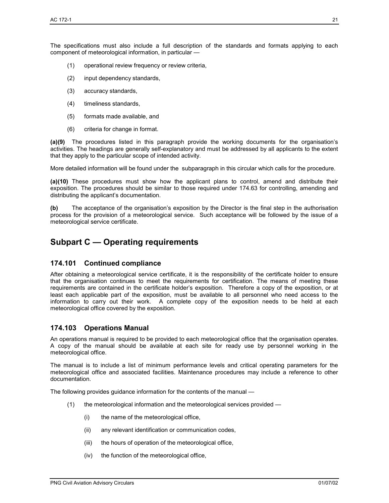The specifications must also include a full description of the standards and formats applying to each component of meteorological information, in particular —

- (1) operational review frequency or review criteria,
- (2) input dependency standards,
- (3) accuracy standards,
- (4) timeliness standards,
- (5) formats made available, and
- (6) criteria for change in format.

**(a)(9)** The procedures listed in this paragraph provide the working documents for the organisation's activities. The headings are generally self-explanatory and must be addressed by all applicants to the extent that they apply to the particular scope of intended activity.

More detailed information will be found under the subparagraph in this circular which calls for the procedure.

**(a)(10)** These procedures must show how the applicant plans to control, amend and distribute their exposition. The procedures should be similar to those required under 174.63 for controlling, amending and distributing the applicant's documentation.

**(b)** The acceptance of the organisation's exposition by the Director is the final step in the authorisation process for the provision of a meteorological service. Such acceptance will be followed by the issue of a meteorological service certificate.

## **Subpart C — Operating requirements**

#### **174.101 Continued compliance**

After obtaining a meteorological service certificate, it is the responsibility of the certificate holder to ensure that the organisation continues to meet the requirements for certification. The means of meeting these requirements are contained in the certificate holder's exposition. Therefore a copy of the exposition, or at least each applicable part of the exposition, must be available to all personnel who need access to the information to carry out their work. A complete copy of the exposition needs to be held at each meteorological office covered by the exposition.

#### **174.103 Operations Manual**

An operations manual is required to be provided to each meteorological office that the organisation operates. A copy of the manual should be available at each site for ready use by personnel working in the meteorological office.

The manual is to include a list of minimum performance levels and critical operating parameters for the meteorological office and associated facilities. Maintenance procedures may include a reference to other documentation.

The following provides guidance information for the contents of the manual —

- (1) the meteorological information and the meteorological services provided
	- (i) the name of the meteorological office,
	- (ii) any relevant identification or communication codes,
	- (iii) the hours of operation of the meteorological office,
	- (iv) the function of the meteorological office,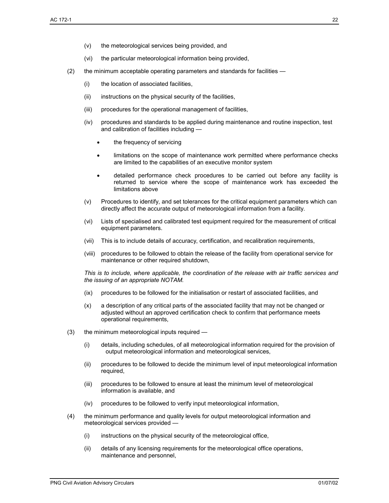- (vi) the particular meteorological information being provided,
- (2) the minimum acceptable operating parameters and standards for facilities
	- (i) the location of associated facilities,
	- (ii) instructions on the physical security of the facilities,
	- (iii) procedures for the operational management of facilities,
	- (iv) procedures and standards to be applied during maintenance and routine inspection, test and calibration of facilities including
		- the frequency of servicing
		- limitations on the scope of maintenance work permitted where performance checks are limited to the capabilities of an executive monitor system
		- detailed performance check procedures to be carried out before any facility is returned to service where the scope of maintenance work has exceeded the limitations above
	- (v) Procedures to identify, and set tolerances for the critical equipment parameters which can directly affect the accurate output of meteorological information from a facility.
	- (vi) Lists of specialised and calibrated test equipment required for the measurement of critical equipment parameters.
	- (vii) This is to include details of accuracy, certification, and recalibration requirements,
	- (viii) procedures to be followed to obtain the release of the facility from operational service for maintenance or other required shutdown,

*This is to include, where applicable, the coordination of the release with air traffic services and the issuing of an appropriate NOTAM.* 

- (ix) procedures to be followed for the initialisation or restart of associated facilities, and
- (x) a description of any critical parts of the associated facility that may not be changed or adjusted without an approved certification check to confirm that performance meets operational requirements,
- (3) the minimum meteorological inputs required
	- (i) details, including schedules, of all meteorological information required for the provision of output meteorological information and meteorological services,
	- (ii) procedures to be followed to decide the minimum level of input meteorological information required,
	- (iii) procedures to be followed to ensure at least the minimum level of meteorological information is available, and
	- (iv) procedures to be followed to verify input meteorological information,
- (4) the minimum performance and quality levels for output meteorological information and meteorological services provided —
	- (i) instructions on the physical security of the meteorological office,
	- (ii) details of any licensing requirements for the meteorological office operations, maintenance and personnel,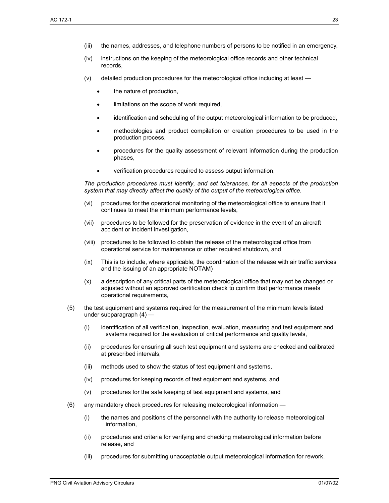- (iv) instructions on the keeping of the meteorological office records and other technical records,
- (v) detailed production procedures for the meteorological office including at least
	- the nature of production,
	- limitations on the scope of work required,
	- identification and scheduling of the output meteorological information to be produced,
	- methodologies and product compilation or creation procedures to be used in the production process,
	- procedures for the quality assessment of relevant information during the production phases,
	- verification procedures required to assess output information,

*The production procedures must identify, and set tolerances, for all aspects of the production system that may directly affect the quality of the output of the meteorological office.* 

- (vi) procedures for the operational monitoring of the meteorological office to ensure that it continues to meet the minimum performance levels,
- (vii) procedures to be followed for the preservation of evidence in the event of an aircraft accident or incident investigation,
- (viii) procedures to be followed to obtain the release of the meteorological office from operational service for maintenance or other required shutdown, and
- (ix) This is to include, where applicable, the coordination of the release with air traffic services and the issuing of an appropriate NOTAM)
- (x) a description of any critical parts of the meteorological office that may not be changed or adjusted without an approved certification check to confirm that performance meets operational requirements,
- (5) the test equipment and systems required for the measurement of the minimum levels listed under subparagraph (4) —
	- (i) identification of all verification, inspection, evaluation, measuring and test equipment and systems required for the evaluation of critical performance and quality levels,
	- (ii) procedures for ensuring all such test equipment and systems are checked and calibrated at prescribed intervals,
	- (iii) methods used to show the status of test equipment and systems,
	- (iv) procedures for keeping records of test equipment and systems, and
	- (v) procedures for the safe keeping of test equipment and systems, and
- (6) any mandatory check procedures for releasing meteorological information
	- (i) the names and positions of the personnel with the authority to release meteorological information,
	- (ii) procedures and criteria for verifying and checking meteorological information before release, and
	- (iii) procedures for submitting unacceptable output meteorological information for rework.